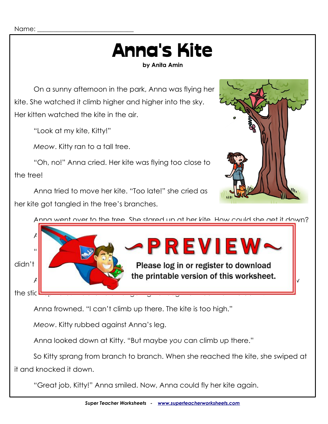## Anna's Kite

**by Anita Amin**

On a sunny afternoon in the park, Anna was flying her kite. She watched it climb higher and higher into the sky. Her kitten watched the kite in the air.

"Look at my kite, Kitty!"

*Meow*. Kitty ran to a tall tree.

"Oh, no!" Anna cried. Her kite was flying too close to the tree!

Anna tried to move her kite. "Too late!" she cried as her kite got tangled in the tree's branches.



Anna went over to the tree. She stared up at her kite. How could she get it down?



Anna frowned. "I can't climb up there. The kite is too high."

*Meow*. Kitty rubbed against Anna's leg.

Anna looked down at Kitty. "But maybe *you* can climb up there."

So Kitty sprang from branch to branch. When she reached the kite, she swiped at it and knocked it down.

"Great job, Kitty!" Anna smiled. Now, Anna could fly her kite again.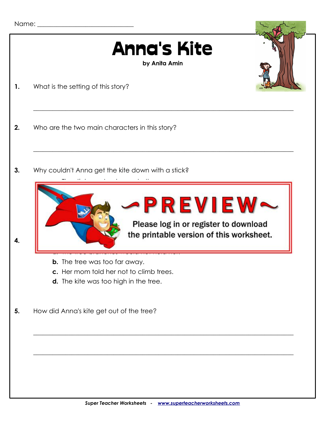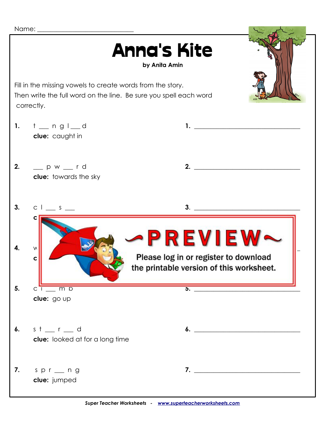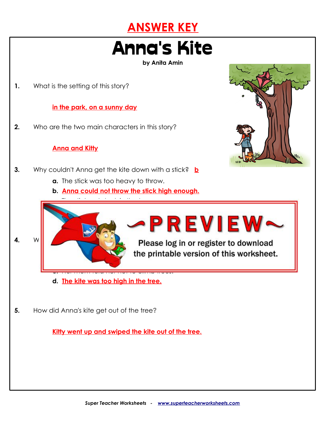